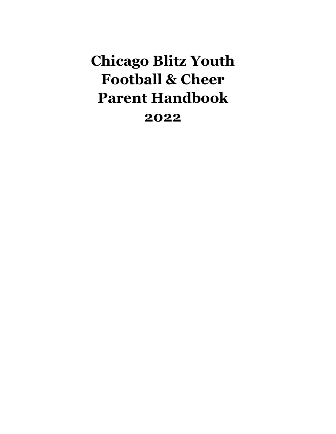# **Chicago Blitz Youth Football & Cheer Parent Handbook 2022**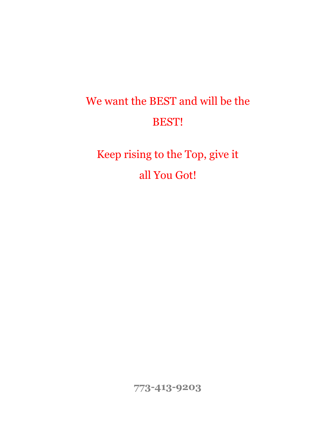# We want the BEST and will be the BEST!

Keep rising to the Top, give it all You Got!

**773-413-9203**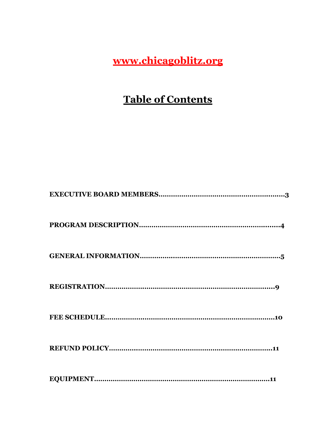**[www.chicagoblitz.org](http://www.chicagoblitzyouthfootballandcheer.org/)**

# **Table of Contents**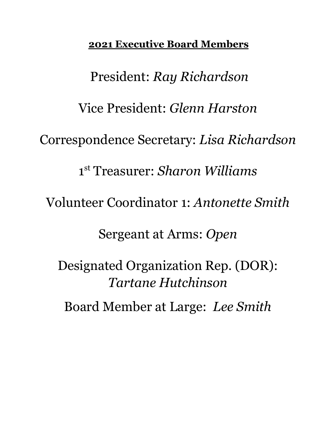# **2021 Executive Board Members**

President: *Ray Richardson* Vice President: *Glenn Harston* Correspondence Secretary: *Lisa Richardson* 1 st Treasurer: *Sharon Williams* Volunteer Coordinator 1: *Antonette Smith* Sergeant at Arms: *Open* Designated Organization Rep. (DOR): *Tartane Hutchinson* Board Member at Large: *Lee Smith*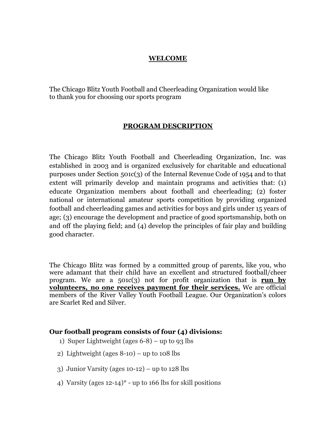### **WELCOME**

The Chicago Blitz Youth Football and Cheerleading Organization would like to thank you for choosing our sports program

#### **PROGRAM DESCRIPTION**

The Chicago Blitz Youth Football and Cheerleading Organization, Inc. was established in 2003 and is organized exclusively for charitable and educational purposes under Section 501c(3) of the Internal Revenue Code of 1954 and to that extent will primarily develop and maintain programs and activities that: (1) educate Organization members about football and cheerleading; (2) foster national or international amateur sports competition by providing organized football and cheerleading games and activities for boys and girls under 15 years of age; (3) encourage the development and practice of good sportsmanship, both on and off the playing field; and (4) develop the principles of fair play and building good character.

The Chicago Blitz was formed by a committed group of parents, like you, who were adamant that their child have an excellent and structured football/cheer program. We are a 501c(3) not for profit organization that is **run by volunteers, no one receives payment for their services.** We are official members of the River Valley Youth Football League. Our Organization's colors are Scarlet Red and Silver.

#### **Our football program consists of four (4) divisions:**

- 1) Super Lightweight (ages  $6-8$ ) up to 93 lbs
- 2) Lightweight (ages  $8-10$ ) up to  $108$  lbs
- 3) Junior Varsity (ages 10-12) up to 128 lbs
- 4) Varsity (ages  $12-14$ <sup>\*</sup> up to 166 lbs for skill positions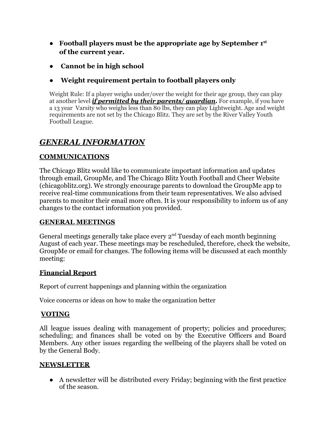- **Football players must be the appropriate age by September 1st of the current year.**
- **Cannot be in high school**
- **Weight requirement pertain to football players only**

Weight Rule: If a player weighs under/over the weight for their age group, they can play at another level *if permitted by their parents/ guardian***.** For example, if you have a 13 year Varsity who weighs less than 80 lbs, they can play Lightweight. Age and weight requirements are not set by the Chicago Blitz. They are set by the River Valley Youth Football League.

### *GENERAL INFORMATION*

### **COMMUNICATIONS**

The Chicago Blitz would like to communicate important information and updates through email, GroupMe, and The Chicago Blitz Youth Football and Cheer Website (chicagoblitz.org). We strongly encourage parents to download the GroupMe app to receive real-time communications from their team representatives. We also advised parents to monitor their email more often. It is your responsibility to inform us of any changes to the contact information you provided.

### **GENERAL MEETINGS**

General meetings generally take place every  $2<sup>nd</sup>$  Tuesday of each month beginning August of each year. These meetings may be rescheduled, therefore, check the website, GroupMe or email for changes. The following items will be discussed at each monthly meeting:

### **Financial Report**

Report of current happenings and planning within the organization

Voice concerns or ideas on how to make the organization better

### **VOTING**

All league issues dealing with management of property; policies and procedures; scheduling; and finances shall be voted on by the Executive Officers and Board Members. Any other issues regarding the wellbeing of the players shall be voted on by the General Body.

### **NEWSLETTER**

● A newsletter will be distributed every Friday; beginning with the first practice of the season.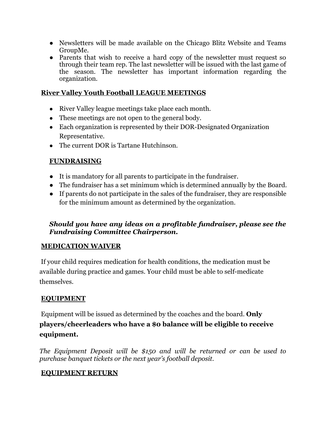- Newsletters will be made available on the Chicago Blitz Website and Teams GroupMe.
- Parents that wish to receive a hard copy of the newsletter must request so through their team rep. The last newsletter will be issued with the last game of the season. The newsletter has important information regarding the organization.

### **River Valley Youth Football LEAGUE MEETINGS**

- River Valley league meetings take place each month.
- These meetings are not open to the general body.
- Each organization is represented by their DOR-Designated Organization Representative.
- The current DOR is Tartane Hutchinson.

### **FUNDRAISING**

- It is mandatory for all parents to participate in the fundraiser.
- The fundraiser has a set minimum which is determined annually by the Board.
- If parents do not participate in the sales of the fundraiser, they are responsible for the minimum amount as determined by the organization.

### *Should you have any ideas on a profitable fundraiser, please see the Fundraising Committee Chairperson.*

### **MEDICATION WAIVER**

If your child requires medication for health conditions, the medication must be available during practice and games. Your child must be able to self-medicate themselves.

### **EQUIPMENT**

Equipment will be issued as determined by the coaches and the board. **Only players/cheerleaders who have a \$0 balance will be eligible to receive equipment.**

*The Equipment Deposit will be \$150 and will be returned or can be used to purchase banquet tickets or the next year's football deposit.*

### **EQUIPMENT RETURN**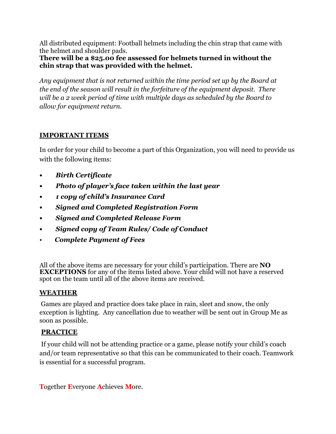All distributed equipment: Football helmets including the chin strap that came with the helmet and shoulder pads.

**There will be a \$25.00 fee assessed for helmets turned in without the chin strap that was provided with the helmet.**

*Any equipment that is not returned within the time period set up by the Board at the end of the season will result in the forfeiture of the equipment deposit. There will be a 2 week period of time with multiple days as scheduled by the Board to allow for equipment return.*

### **IMPORTANT ITEMS**

In order for your child to become a part of this Organization, you will need to provide us with the following items:

- **•** *Birth Certificate*
- **•** *Photo of player's face taken within the last year*
- **•** *1 copy of child's Insurance Card*
- **•** *Signed and Completed Registration Form*
- **•** *Signed and Completed Release Form*
- **•** *Signed copy of Team Rules/ Code of Conduct*
- *Complete Payment of Fees*

All of the above items are necessary for your child's participation. There are **NO EXCEPTIONS** for any of the items listed above. Your child will not have a reserved spot on the team until all of the above items are received.

### **WEATHER**

Games are played and practice does take place in rain, sleet and snow, the only exception is lighting. Any cancellation due to weather will be sent out in Group Me as soon as possible.

### **PRACTICE**

If your child will not be attending practice or a game, please notify your child's coach and/or team representative so that this can be communicated to their coach. Teamwork is essential for a successful program.

**T**ogether **E**veryone **A**chieves **M**ore.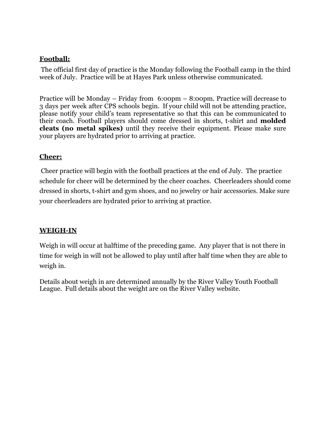### **Football:**

The official first day of practice is the Monday following the Football camp in the third week of July. Practice will be at Hayes Park unless otherwise communicated.

Practice will be Monday – Friday from 6:00pm – 8:00pm. Practice will decrease to 3 days per week after CPS schools begin. If your child will not be attending practice, please notify your child's team representative so that this can be communicated to their coach. Football players should come dressed in shorts, t-shirt and **molded cleats (no metal spikes)** until they receive their equipment. Please make sure your players are hydrated prior to arriving at practice.

### **Cheer:**

Cheer practice will begin with the football practices at the end of July. The practice schedule for cheer will be determined by the cheer coaches. Cheerleaders should come dressed in shorts, t-shirt and gym shoes, and no jewelry or hair accessories. Make sure your cheerleaders are hydrated prior to arriving at practice.

### **WEIGH-IN**

Weigh in will occur at halftime of the preceding game. Any player that is not there in time for weigh in will not be allowed to play until after half time when they are able to weigh in.

Details about weigh in are determined annually by the River Valley Youth Football League. Full details about the weight are on the River Valley website.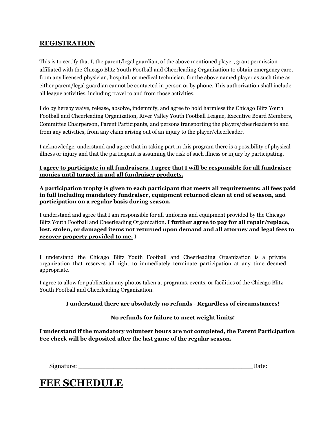### **REGISTRATION**

This is to certify that I, the parent/legal guardian, of the above mentioned player, grant permission affiliated with the Chicago Blitz Youth Football and Cheerleading Organization to obtain emergency care, from any licensed physician, hospital, or medical technician, for the above named player as such time as either parent/legal guardian cannot be contacted in person or by phone. This authorization shall include all league activities, including travel to and from those activities.

I do by hereby waive, release, absolve, indemnify, and agree to hold harmless the Chicago Blitz Youth Football and Cheerleading Organization, River Valley Youth Football League, Executive Board Members, Committee Chairperson, Parent Participants, and persons transporting the players/cheerleaders to and from any activities, from any claim arising out of an injury to the player/cheerleader.

I acknowledge, understand and agree that in taking part in this program there is a possibility of physical illness or injury and that the participant is assuming the risk of such illness or injury by participating.

#### **I agree to participate in all fundraisers. I agree that I will be responsible for all fundraiser monies until turned in and all fundraiser products.**

**A participation trophy is given to each participant that meets all requirements: all fees paid in full including mandatory fundraiser, equipment returned clean at end of season, and participation on a regular basis during season.**

I understand and agree that I am responsible for all uniforms and equipment provided by the Chicago Blitz Youth Football and Cheerleading Organization. **I further agree to pay for all repair/replace, lost, stolen, or damaged items not returned upon demand and all attorney and legal fees to recover property provided to me.** I

I understand the Chicago Blitz Youth Football and Cheerleading Organization is a private organization that reserves all right to immediately terminate participation at any time deemed appropriate.

I agree to allow for publication any photos taken at programs, events, or facilities of the Chicago Blitz Youth Football and Cheerleading Organization.

#### **I understand there are absolutely no refunds - Regardless of circumstances!**

#### **No refunds for failure to meet weight limits!**

**I understand if the mandatory volunteer hours are not completed, the Parent Participation Fee check will be deposited after the last game of the regular season.**

Signature:  $\Box$ 

# **FEE SCHEDULE**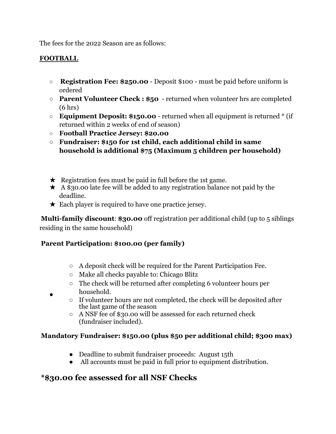The fees for the 2022 Season are as follows:

### **FOOTBALL**

- **○ Registration Fee: \$250.00** Deposit \$100 must be paid before uniform is ordered
- **Parent Volunteer Check : \$50** returned when volunteer hrs are completed (6 hrs)
- **Equipment Deposit: \$150.00** returned when all equipment is returned \* (if returned within 2 weeks of end of season)
- **○ Football Practice Jersey: \$20.00**
- **○ Fundraiser: \$150 for 1st child, each additional child in same household is additional \$75 (Maximum 5 children per household)**
- $\star$  Registration fees must be paid in full before the 1st game.
- $\star$  A \$30.00 late fee will be added to any registration balance not paid by the deadline.
- $\star$  Each player is required to have one practice jersey.

**Multi-family discount**: **\$30.00** off registration per additional child (up to 5 siblings residing in the same household)

### **Parent Participation: \$100.00 (per family)**

- A deposit check will be required for the Parent Participation Fee.
- Make all checks payable to: Chicago Blitz
- The check will be returned after completing 6 volunteer hours per household.
- If volunteer hours are not completed, the check will be deposited after the last game of the season
- A NSF fee of \$30.00 will be assessed for each returned check (fundraiser included).

### **Mandatory Fundraiser: \$150.00 (plus \$50 per additional child; \$300 max)**

- Deadline to submit fundraiser proceeds: August 15th
- All accounts must be paid in full prior to equipment distribution.

### **\*\$30.00 fee assessed for all NSF Checks**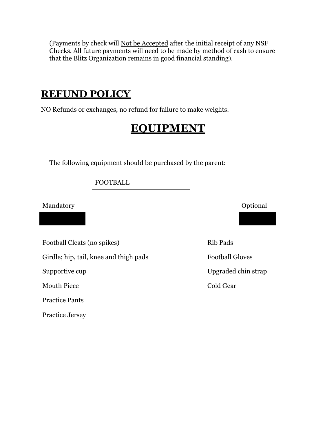(Payments by check will Not be Accepted after the initial receipt of any NSF Checks. All future payments will need to be made by method of cash to ensure that the Blitz Organization remains in good financial standing).

# **REFUND POLICY**

NO Refunds or exchanges, no refund for failure to make weights.

# **EQUIPMENT**

The following equipment should be purchased by the parent:

FOOTBALL

Mandatory **Optional** 

Football Cleats (no spikes) Rib Pads

Girdle; hip, tail, knee and thigh pads Football Gloves

Mouth Piece Cold Gear

Practice Pants

Practice Jersey

Supportive cup Upgraded chin strap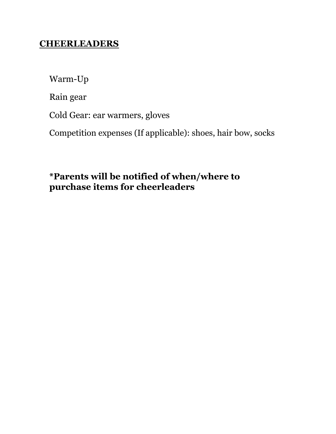# **CHEERLEADERS**

Warm-Up

Rain gear

Cold Gear: ear warmers, gloves

Competition expenses (If applicable): shoes, hair bow, socks

# **\*Parents will be notified of when/where to purchase items for cheerleaders**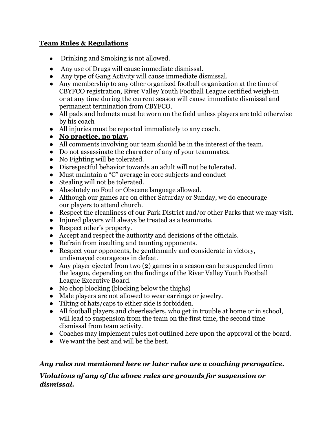### **Team Rules & Regulations**

- Drinking and Smoking is not allowed.
- Any use of Drugs will cause immediate dismissal.
- Any type of Gang Activity will cause immediate dismissal.
- Any membership to any other organized football organization at the time of CBYFCO registration, River Valley Youth Football League certified weigh-in or at any time during the current season will cause immediate dismissal and permanent termination from CBYFCO.
- All pads and helmets must be worn on the field unless players are told otherwise by his coach
- All injuries must be reported immediately to any coach.
- **● No practice, no play.**
- All comments involving our team should be in the interest of the team.
- Do not assassinate the character of any of your teammates.
- No Fighting will be tolerated.
- Disrespectful behavior towards an adult will not be tolerated.
- Must maintain a "C" average in core subjects and conduct
- Stealing will not be tolerated.
- Absolutely no Foul or Obscene language allowed.
- Although our games are on either Saturday or Sunday, we do encourage our players to attend church.
- Respect the cleanliness of our Park District and/or other Parks that we may visit.
- Injured players will always be treated as a teammate.
- Respect other's property.
- Accept and respect the authority and decisions of the officials.
- Refrain from insulting and taunting opponents.
- Respect your opponents, be gentlemanly and considerate in victory, undismayed courageous in defeat.
- Any player ejected from two (2) games in a season can be suspended from the league, depending on the findings of the River Valley Youth Football League Executive Board.
- No chop blocking (blocking below the thighs)
- Male players are not allowed to wear earrings or jewelry.
- Tilting of hats/caps to either side is forbidden.
- All football players and cheerleaders, who get in trouble at home or in school, will lead to suspension from the team on the first time, the second time dismissal from team activity.
- Coaches may implement rules not outlined here upon the approval of the board.
- We want the best and will be the best.

### *Any rules not mentioned here or later rules are a coaching prerogative.*

### *Violations of any of the above rules are grounds for suspension or dismissal.*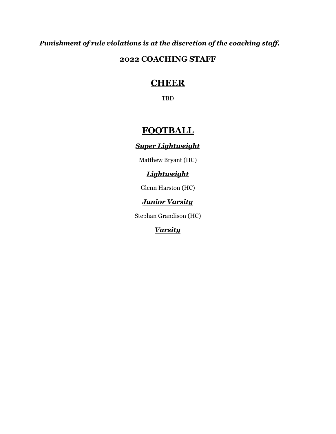*Punishment of rule violations is at the discretion of the coaching staff.*

### **2022 COACHING STAFF**

# **CHEER**

TBD

# **FOOTBALL**

### *Super Lightweight*

Matthew Bryant (HC)

### *Lightweight*

Glenn Harston (HC)

### *Junior Varsity*

Stephan Grandison (HC)

### *Varsity*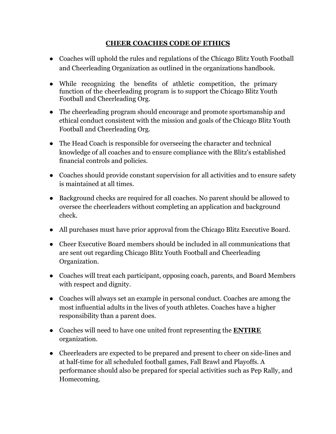### **CHEER COACHES CODE OF ETHICS**

- Coaches will uphold the rules and regulations of the Chicago Blitz Youth Football and Cheerleading Organization as outlined in the organizations handbook.
- While recognizing the benefits of athletic competition, the primary function of the cheerleading program is to support the Chicago Blitz Youth Football and Cheerleading Org.
- The cheerleading program should encourage and promote sportsmanship and ethical conduct consistent with the mission and goals of the Chicago Blitz Youth Football and Cheerleading Org.
- The Head Coach is responsible for overseeing the character and technical knowledge of all coaches and to ensure compliance with the Blitz's established financial controls and policies.
- Coaches should provide constant supervision for all activities and to ensure safety is maintained at all times.
- Background checks are required for all coaches. No parent should be allowed to oversee the cheerleaders without completing an application and background check.
- All purchases must have prior approval from the Chicago Blitz Executive Board.
- Cheer Executive Board members should be included in all communications that are sent out regarding Chicago Blitz Youth Football and Cheerleading Organization.
- Coaches will treat each participant, opposing coach, parents, and Board Members with respect and dignity.
- Coaches will always set an example in personal conduct. Coaches are among the most influential adults in the lives of youth athletes. Coaches have a higher responsibility than a parent does.
- Coaches will need to have one united front representing the **ENTIRE** organization.
- Cheerleaders are expected to be prepared and present to cheer on side-lines and at half-time for all scheduled football games, Fall Brawl and Playoffs. A performance should also be prepared for special activities such as Pep Rally, and Homecoming.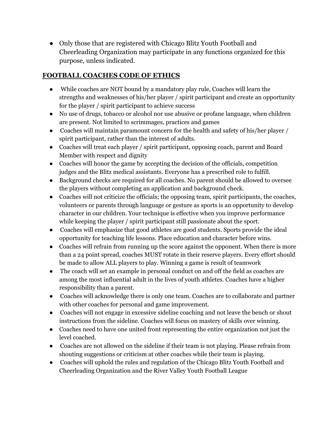• Only those that are registered with Chicago Blitz Youth Football and Cheerleading Organization may participate in any functions organized for this purpose, unless indicated.

### **FOOTBALL COACHES CODE OF ETHICS**

- While coaches are NOT bound by a mandatory play rule, Coaches will learn the strengths and weaknesses of his/her player / spirit participant and create an opportunity for the player / spirit participant to achieve success
- No use of drugs, tobacco or alcohol nor use abusive or profane language, when children are present. Not limited to scrimmages, practices and games
- Coaches will maintain paramount concern for the health and safety of his/her player / spirit participant, rather than the interest of adults.
- Coaches will treat each player / spirit participant, opposing coach, parent and Board Member with respect and dignity
- Coaches will honor the game by accepting the decision of the officials, competition judges and the Blitz medical assistants. Everyone has a prescribed role to fulfill.
- Background checks are required for all coaches. No parent should be allowed to oversee the players without completing an application and background check.
- Coaches will not criticize the officials; the opposing team, spirit participants, the coaches, volunteers or parents through language or gesture as sports is an opportunity to develop character in our children. Your technique is effective when you improve performance while keeping the player / spirit participant still passionate about the sport.
- Coaches will emphasize that good athletes are good students. Sports provide the ideal opportunity for teaching life lessons. Place education and character before wins.
- Coaches will refrain from running up the score against the opponent. When there is more than a 24 point spread, coaches MUST rotate in their reserve players. Every effort should be made to allow ALL players to play. Winning a game is result of teamwork
- The coach will set an example in personal conduct on and off the field as coaches are among the most influential adult in the lives of youth athletes. Coaches have a higher responsibility than a parent.
- Coaches will acknowledge there is only one team. Coaches are to collaborate and partner with other coaches for personal and game improvement.
- Coaches will not engage in excessive sideline coaching and not leave the bench or shout instructions from the sideline. Coaches will focus on mastery of skills over winning.
- Coaches need to have one united front representing the entire organization not just the level coached.
- Coaches are not allowed on the sideline if their team is not playing. Please refrain from shouting suggestions or criticism at other coaches while their team is playing.
- Coaches will uphold the rules and regulation of the Chicago Blitz Youth Football and Cheerleading Organization and the River Valley Youth Football League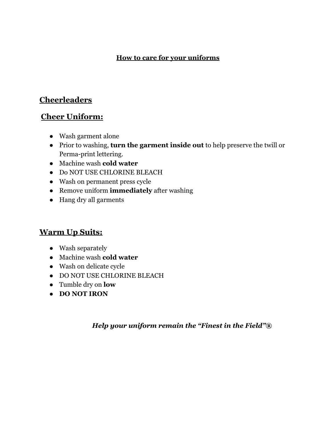### **How to care for your uniforms**

### **Cheerleaders**

### **Cheer Uniform:**

- Wash garment alone
- Prior to washing, **turn the garment inside out** to help preserve the twill or Perma-print lettering.
- Machine wash **cold water**
- Do NOT USE CHLORINE BLEACH
- Wash on permanent press cycle
- Remove uniform **immediately** after washing
- Hang dry all garments

### **Warm Up Suits:**

- Wash separately
- Machine wash **cold water**
- Wash on delicate cycle
- DO NOT USE CHLORINE BLEACH
- Tumble dry on **low**
- **● DO NOT IRON**

### *Help your uniform remain the "Finest in the Field"®*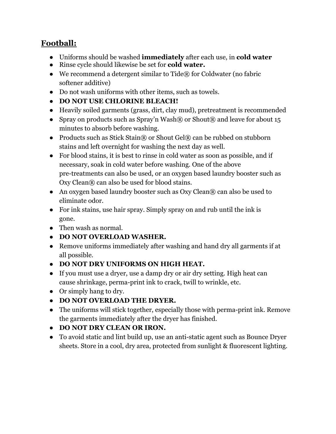### **Football:**

- Uniforms should be washed **immediately** after each use, in **cold water**
- Rinse cycle should likewise be set for **cold water.**
- We recommend a detergent similar to Tide $\mathbb R$  for Coldwater (no fabric softener additive)
- Do not wash uniforms with other items, such as towels.
- **● DO NOT USE CHLORINE BLEACH!**
- Heavily soiled garments (grass, dirt, clay mud), pretreatment is recommended
- Spray on products such as Spray'n Wash® or Shout® and leave for about 15 minutes to absorb before washing.
- Products such as Stick Stain® or Shout Gel® can be rubbed on stubborn stains and left overnight for washing the next day as well.
- For blood stains, it is best to rinse in cold water as soon as possible, and if necessary, soak in cold water before washing. One of the above pre-treatments can also be used, or an oxygen based laundry booster such as Oxy Clean® can also be used for blood stains.
- An oxygen based laundry booster such as Oxy Clean® can also be used to eliminate odor.
- For ink stains, use hair spray. Simply spray on and rub until the ink is gone.
- Then wash as normal.
- **● DO NOT OVERLOAD WASHER.**
- Remove uniforms immediately after washing and hand dry all garments if at all possible.
- **● DO NOT DRY UNIFORMS ON HIGH HEAT.**
- If you must use a dryer, use a damp dry or air dry setting. High heat can cause shrinkage, perma-print ink to crack, twill to wrinkle, etc.
- Or simply hang to dry.
- **● DO NOT OVERLOAD THE DRYER.**
- The uniforms will stick together, especially those with perma-print ink. Remove the garments immediately after the dryer has finished.
- **● DO NOT DRY CLEAN OR IRON.**
- To avoid static and lint build up, use an anti-static agent such as Bounce Dryer sheets. Store in a cool, dry area, protected from sunlight & fluorescent lighting.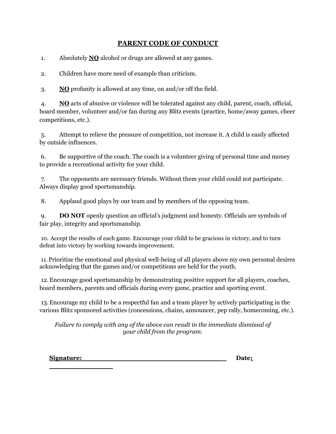### **PARENT CODE OF CONDUCT**

1. Absolutely **NO** alcohol or drugs are allowed at any games.

2. Children have more need of example than criticism.

3. **NO** profanity is allowed at any time, on and/or off the field.

4. **NO** acts of abusive or violence will be tolerated against any child, parent, coach, official, board member, volunteer and/or fan during any Blitz events (practice, home/away games, cheer competitions, etc.).

5. Attempt to relieve the pressure of competition, not increase it. A child is easily affected by outside influences.

6. Be supportive of the coach. The coach is a volunteer giving of personal time and money to provide a recreational activity for your child.

7. The opponents are necessary friends. Without them your child could not participate. Always display good sportsmanship.

8. Applaud good plays by our team and by members of the opposing team.

9. **DO NOT** openly question an official's judgment and honesty. Officials are symbols of fair play, integrity and sportsmanship.

10. Accept the results of each game. Encourage your child to be gracious in victory, and to turn defeat into victory by working towards improvement.

11. Prioritize the emotional and physical well-being of all players above my own personal desires acknowledging that the games and/or competitions are held for the youth.

12.Encourage good sportsmanship by demonstrating positive support for all players, coaches, board members, parents and officials during every game, practice and sporting event.

13.Encourage my child to be a respectful fan and a team player by actively participating in the various Blitz sponsored activities (concessions, chains, announcer, pep rally, homecoming, etc.).

*Failure to comply with any of the above can result in the immediate dismissal of your child from the program.*

| Signature: | <b>Date:</b> |
|------------|--------------|
|            |              |

**\_\_\_\_\_\_\_\_\_\_\_\_\_\_\_**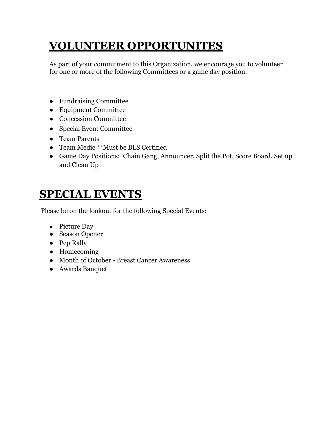# **VOLUNTEER OPPORTUNITES**

As part of your commitment to this Organization, we encourage you to volunteer for one or more of the following Committees or a game day position.

- Fundraising Committee
- Equipment Committee
- Concession Committee
- Special Event Committee
- Team Parents
- Team Medic \*\*Must be BLS Certified
- Game Day Positions: Chain Gang, Announcer, Split the Pot, Score Board, Set up and Clean Up

# **SPECIAL EVENTS**

Please be on the lookout for the following Special Events:

- Picture Day
- Season Opener
- Pep Rally
- Homecoming
- Month of October Breast Cancer Awareness
- Awards Banquet